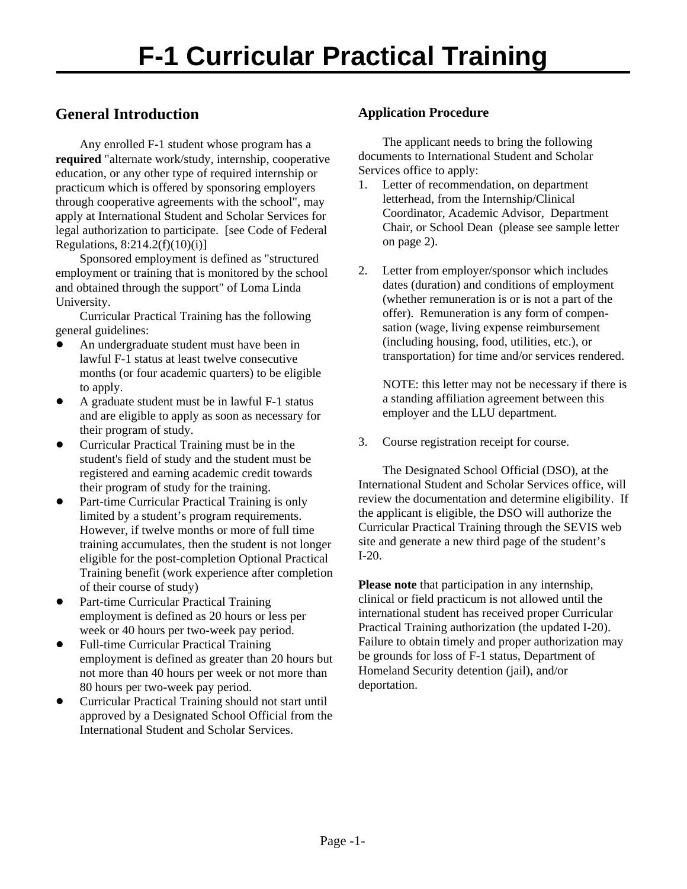## **General Introduction**

Any enrolled F-1 student whose program has a **required** "alternate work/study, internship, cooperative education, or any other type of required internship or practicum which is offered by sponsoring employers through cooperative agreements with the school", may apply at International Student and Scholar Services for legal authorization to participate. [see Code of Federal Regulations, 8:214.2(f)(10)(i)]

Sponsored employment is defined as "structured employment or training that is monitored by the school and obtained through the support" of Loma Linda University.

Curricular Practical Training has the following general guidelines:

- ! An undergraduate student must have been in lawful F-1 status at least twelve consecutive months (or four academic quarters) to be eligible to apply.
- A graduate student must be in lawful F-1 status and are eligible to apply as soon as necessary for their program of study.
- Curricular Practical Training must be in the student's field of study and the student must be registered and earning academic credit towards their program of study for the training.
- Part-time Curricular Practical Training is only limited by a student's program requirements. However, if twelve months or more of full time training accumulates, then the student is not longer eligible for the post-completion Optional Practical Training benefit (work experience after completion of their course of study)
- ! Part-time Curricular Practical Training employment is defined as 20 hours or less per week or 40 hours per two-week pay period.
- ! Full-time Curricular Practical Training employment is defined as greater than 20 hours but not more than 40 hours per week or not more than 80 hours per two-week pay period.
- ! Curricular Practical Training should not start until approved by a Designated School Official from the International Student and Scholar Services.

## **Application Procedure**

The applicant needs to bring the following documents to International Student and Scholar Services office to apply:

- 1. Letter of recommendation, on department letterhead, from the Internship/Clinical Coordinator, Academic Advisor, Department Chair, or School Dean (please see sample letter on page 2).
- 2. Letter from employer/sponsor which includes dates (duration) and conditions of employment (whether remuneration is or is not a part of the offer). Remuneration is any form of compensation (wage, living expense reimbursement (including housing, food, utilities, etc.), or transportation) for time and/or services rendered.

NOTE: this letter may not be necessary if there is a standing affiliation agreement between this employer and the LLU department.

3. Course registration receipt for course.

The Designated School Official (DSO), at the International Student and Scholar Services office, will review the documentation and determine eligibility. If the applicant is eligible, the DSO will authorize the Curricular Practical Training through the SEVIS web site and generate a new third page of the student's I-20.

**Please note** that participation in any internship, clinical or field practicum is not allowed until the international student has received proper Curricular Practical Training authorization (the updated I-20). Failure to obtain timely and proper authorization may be grounds for loss of F-1 status, Department of Homeland Security detention (jail), and/or deportation.